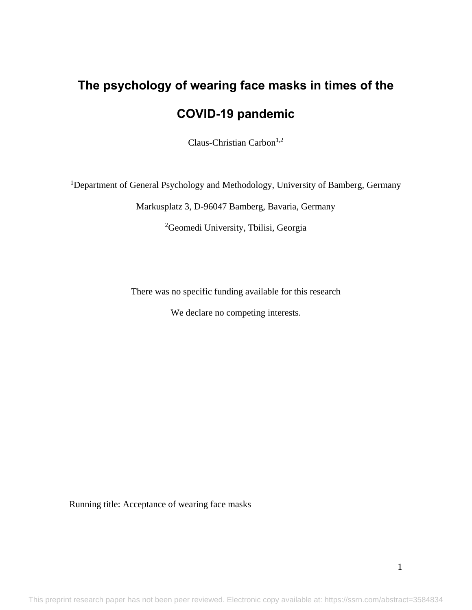# **The psychology of wearing face masks in times of the COVID-19 pandemic**

Claus-Christian Carbon<sup>1,2</sup>

<sup>1</sup>Department of General Psychology and Methodology, University of Bamberg, Germany

Markusplatz 3, D-96047 Bamberg, Bavaria, Germany

<sup>2</sup>Geomedi University, Tbilisi, Georgia

There was no specific funding available for this research

We declare no competing interests.

Running title: Acceptance of wearing face masks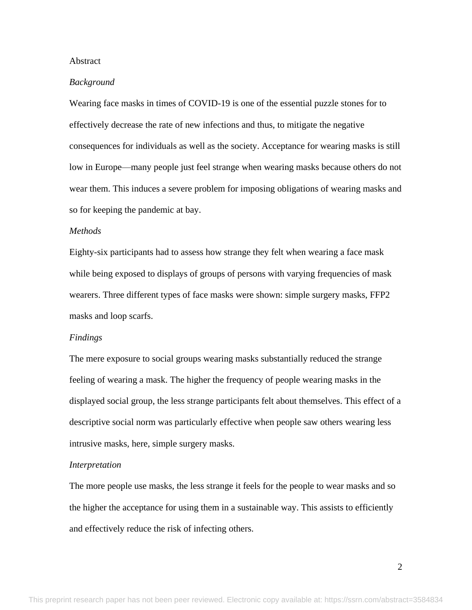## Abstract

#### *Background*

Wearing face masks in times of COVID-19 is one of the essential puzzle stones for to effectively decrease the rate of new infections and thus, to mitigate the negative consequences for individuals as well as the society. Acceptance for wearing masks is still low in Europe—many people just feel strange when wearing masks because others do not wear them. This induces a severe problem for imposing obligations of wearing masks and so for keeping the pandemic at bay.

## *Methods*

Eighty-six participants had to assess how strange they felt when wearing a face mask while being exposed to displays of groups of persons with varying frequencies of mask wearers. Three different types of face masks were shown: simple surgery masks, FFP2 masks and loop scarfs.

#### *Findings*

The mere exposure to social groups wearing masks substantially reduced the strange feeling of wearing a mask. The higher the frequency of people wearing masks in the displayed social group, the less strange participants felt about themselves. This effect of a descriptive social norm was particularly effective when people saw others wearing less intrusive masks, here, simple surgery masks.

#### *Interpretation*

The more people use masks, the less strange it feels for the people to wear masks and so the higher the acceptance for using them in a sustainable way. This assists to efficiently and effectively reduce the risk of infecting others.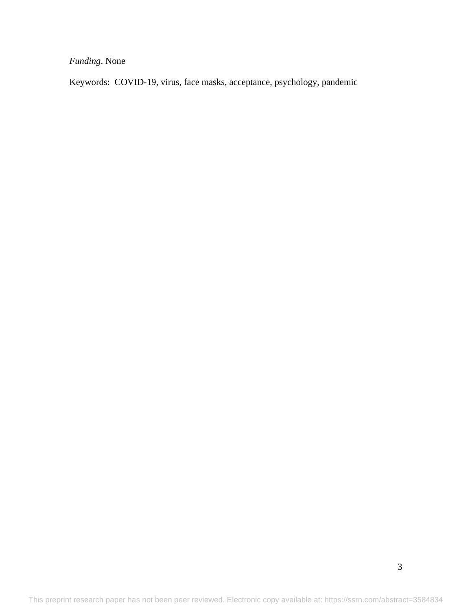*Funding*. None

Keywords: COVID-19, virus, face masks, acceptance, psychology, pandemic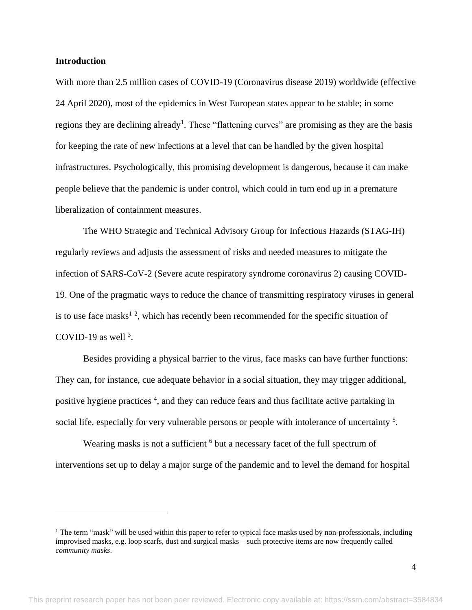## **Introduction**

 $\overline{a}$ 

With more than 2.5 million cases of COVID-19 (Coronavirus disease 2019) worldwide (effective 24 April 2020), most of the epidemics in West European states appear to be stable; in some regions they are declining already<sup>1</sup>. These "flattening curves" are promising as they are the basis for keeping the rate of new infections at a level that can be handled by the given hospital infrastructures. Psychologically, this promising development is dangerous, because it can make people believe that the pandemic is under control, which could in turn end up in a premature liberalization of containment measures.

The WHO Strategic and Technical Advisory Group for Infectious Hazards (STAG-IH) regularly reviews and adjusts the assessment of risks and needed measures to mitigate the infection of SARS-CoV-2 (Severe acute respiratory syndrome coronavirus 2) causing COVID-19. One of the pragmatic ways to reduce the chance of transmitting respiratory viruses in general is to use face masks<sup>12</sup>, which has recently been recommended for the specific situation of COVID-19 as well  $3$ .

Besides providing a physical barrier to the virus, face masks can have further functions: They can, for instance, cue adequate behavior in a social situation, they may trigger additional, positive hygiene practices<sup>4</sup>, and they can reduce fears and thus facilitate active partaking in social life, especially for very vulnerable persons or people with intolerance of uncertainty<sup>5</sup>.

Wearing masks is not a sufficient <sup>6</sup> but a necessary facet of the full spectrum of interventions set up to delay a major surge of the pandemic and to level the demand for hospital

 $1$  The term "mask" will be used within this paper to refer to typical face masks used by non-professionals, including improvised masks, e.g. loop scarfs, dust and surgical masks – such protective items are now frequently called *community masks*.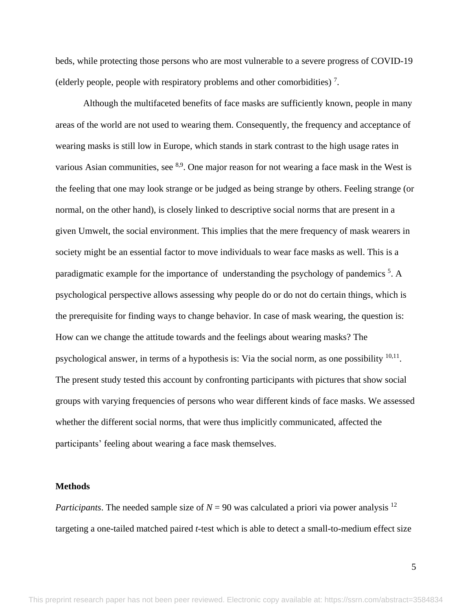beds, while protecting those persons who are most vulnerable to a severe progress of COVID-19 (elderly people, people with respiratory problems and other comorbidities)<sup>7</sup>.

Although the multifaceted benefits of face masks are sufficiently known, people in many areas of the world are not used to wearing them. Consequently, the frequency and acceptance of wearing masks is still low in Europe, which stands in stark contrast to the high usage rates in various Asian communities, see  $8.9$ . One major reason for not wearing a face mask in the West is the feeling that one may look strange or be judged as being strange by others. Feeling strange (or normal, on the other hand), is closely linked to descriptive social norms that are present in a given Umwelt, the social environment. This implies that the mere frequency of mask wearers in society might be an essential factor to move individuals to wear face masks as well. This is a paradigmatic example for the importance of understanding the psychology of pandemics<sup>5</sup>. A psychological perspective allows assessing why people do or do not do certain things, which is the prerequisite for finding ways to change behavior. In case of mask wearing, the question is: How can we change the attitude towards and the feelings about wearing masks? The psychological answer, in terms of a hypothesis is: Via the social norm, as one possibility  $10,11$ . The present study tested this account by confronting participants with pictures that show social groups with varying frequencies of persons who wear different kinds of face masks. We assessed whether the different social norms, that were thus implicitly communicated, affected the participants' feeling about wearing a face mask themselves.

#### **Methods**

*Participants*. The needed sample size of  $N = 90$  was calculated a priori via power analysis <sup>12</sup> targeting a one-tailed matched paired *t*-test which is able to detect a small-to-medium effect size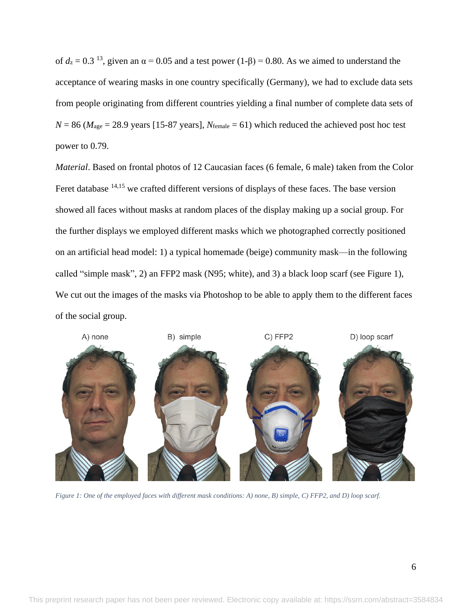of  $d_z = 0.3$  <sup>13</sup>, given an  $\alpha = 0.05$  and a test power  $(1-\beta) = 0.80$ . As we aimed to understand the acceptance of wearing masks in one country specifically (Germany), we had to exclude data sets from people originating from different countries yielding a final number of complete data sets of  $N = 86$  ( $M<sub>age</sub> = 28.9$  years [15-87 years],  $N<sub>female</sub> = 61$ ) which reduced the achieved post hoc test power to 0.79.

*Material*. Based on frontal photos of 12 Caucasian faces (6 female, 6 male) taken from the Color Feret database <sup>14,15</sup> we crafted different versions of displays of these faces. The base version showed all faces without masks at random places of the display making up a social group. For the further displays we employed different masks which we photographed correctly positioned on an artificial head model: 1) a typical homemade (beige) community mask—in the following called "simple mask", 2) an FFP2 mask (N95; white), and 3) a black loop scarf (see [Figure 1\)](#page-5-0), We cut out the images of the masks via Photoshop to be able to apply them to the different faces of the social group.

<span id="page-5-0"></span>

*Figure 1: One of the employed faces with different mask conditions: A) none, B) simple, C) FFP2, and D) loop scarf.*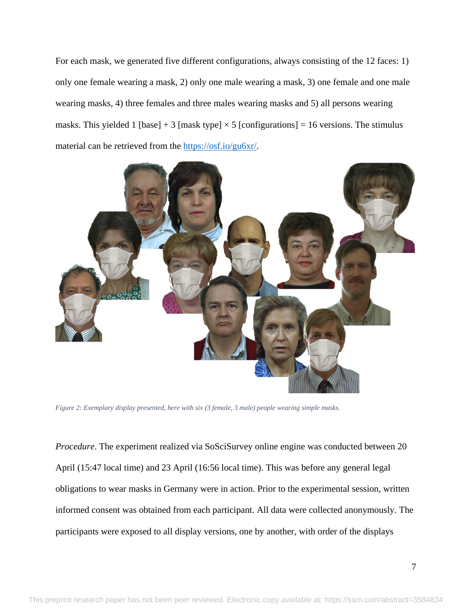For each mask, we generated five different configurations, always consisting of the 12 faces: 1) only one female wearing a mask, 2) only one male wearing a mask, 3) one female and one male wearing masks, 4) three females and three males wearing masks and 5) all persons wearing masks. This yielded 1 [base] + 3 [mask type]  $\times$  5 [configurations] = 16 versions. The stimulus material can be retrieved from the [https://osf.io/gu6xr/.](https://osf.io/gu6xr/)



*Figure 2: Exemplary display presented, here with six (3 female, 3 male) people wearing simple masks.*

*Procedure*. The experiment realized via SoSciSurvey online engine was conducted between 20 April (15:47 local time) and 23 April (16:56 local time). This was before any general legal obligations to wear masks in Germany were in action. Prior to the experimental session, written informed consent was obtained from each participant. All data were collected anonymously. The participants were exposed to all display versions, one by another, with order of the displays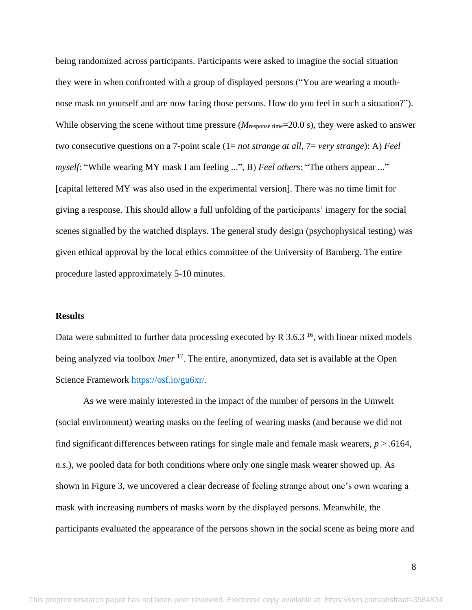being randomized across participants. Participants were asked to imagine the social situation they were in when confronted with a group of displayed persons ("You are wearing a mouthnose mask on yourself and are now facing those persons. How do you feel in such a situation?"). While observing the scene without time pressure ( $M_{\text{response time}}$ =20.0 s), they were asked to answer two consecutive questions on a 7-point scale (1= *not strange at all*, 7= *very strange*): A) *Feel myself*: "While wearing MY mask I am feeling ...", B) *Feel others*: "The others appear ..." [capital lettered MY was also used in the experimental version]. There was no time limit for giving a response. This should allow a full unfolding of the participants' imagery for the social scenes signalled by the watched displays. The general study design (psychophysical testing) was given ethical approval by the local ethics committee of the University of Bamberg. The entire procedure lasted approximately 5-10 minutes.

#### **Results**

Data were submitted to further data processing executed by R  $3.6.3<sup>16</sup>$ , with linear mixed models being analyzed via toolbox *lmer* 17 . The entire, anonymized, data set is available at the Open Science Framework [https://osf.io/gu6xr/.](https://osf.io/gu6xr/)

As we were mainly interested in the impact of the number of persons in the Umwelt (social environment) wearing masks on the feeling of wearing masks (and because we did not find significant differences between ratings for single male and female mask wearers, *p* > .6164, *n.s.*), we pooled data for both conditions where only one single mask wearer showed up. As shown in [Figure 3,](#page-8-0) we uncovered a clear decrease of feeling strange about one's own wearing a mask with increasing numbers of masks worn by the displayed persons. Meanwhile, the participants evaluated the appearance of the persons shown in the social scene as being more and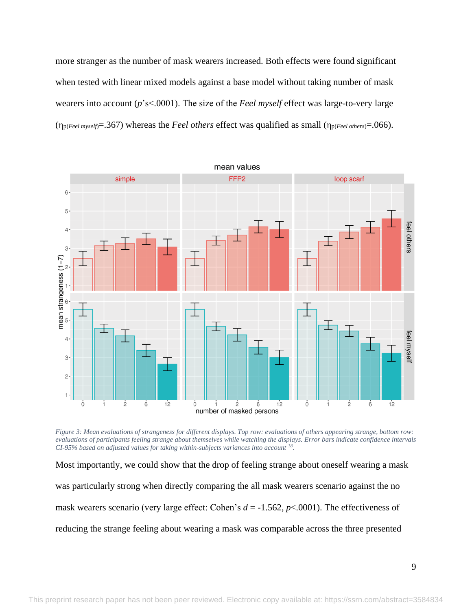more stranger as the number of mask wearers increased. Both effects were found significant when tested with linear mixed models against a base model without taking number of mask wearers into account (*p*'s<.0001). The size of the *Feel myself* effect was large-to-very large (ηp(*Feel myself*)=.367) whereas the *Feel others* effect was qualified as small (ηp(*Feel others*)=.066).



<span id="page-8-0"></span>*Figure 3: Mean evaluations of strangeness for different displays. Top row: evaluations of others appearing strange, bottom row: evaluations of participants feeling strange about themselves while watching the displays. Error bars indicate confidence intervals CI-95% based on adjusted values for taking within-subjects variances into account <sup>18</sup> .*

Most importantly, we could show that the drop of feeling strange about oneself wearing a mask was particularly strong when directly comparing the all mask wearers scenario against the no mask wearers scenario (very large effect: Cohen's *d* = -1.562, *p*<.0001). The effectiveness of reducing the strange feeling about wearing a mask was comparable across the three presented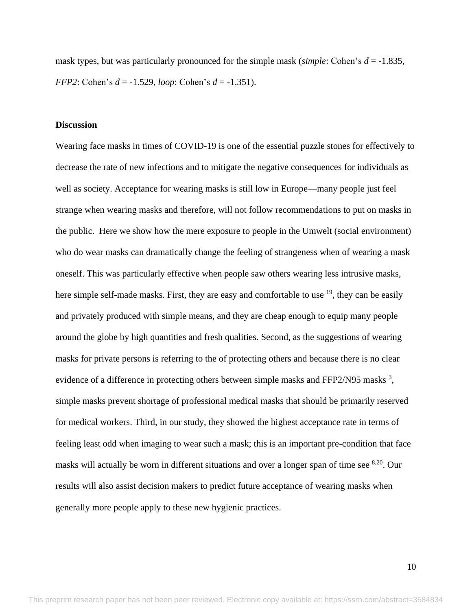mask types, but was particularly pronounced for the simple mask (*simple*: Cohen's *d* = -1.835, *FFP2*: Cohen's *d* = -1.529, *loop*: Cohen's *d* = -1.351).

### **Discussion**

Wearing face masks in times of COVID-19 is one of the essential puzzle stones for effectively to decrease the rate of new infections and to mitigate the negative consequences for individuals as well as society. Acceptance for wearing masks is still low in Europe—many people just feel strange when wearing masks and therefore, will not follow recommendations to put on masks in the public. Here we show how the mere exposure to people in the Umwelt (social environment) who do wear masks can dramatically change the feeling of strangeness when of wearing a mask oneself. This was particularly effective when people saw others wearing less intrusive masks, here simple self-made masks. First, they are easy and comfortable to use  $^{19}$ , they can be easily and privately produced with simple means, and they are cheap enough to equip many people around the globe by high quantities and fresh qualities. Second, as the suggestions of wearing masks for private persons is referring to the of protecting others and because there is no clear evidence of a difference in protecting others between simple masks and FFP2/N95 masks  $3$ , simple masks prevent shortage of professional medical masks that should be primarily reserved for medical workers. Third, in our study, they showed the highest acceptance rate in terms of feeling least odd when imaging to wear such a mask; this is an important pre-condition that face masks will actually be worn in different situations and over a longer span of time see <sup>8,20</sup>. Our results will also assist decision makers to predict future acceptance of wearing masks when generally more people apply to these new hygienic practices.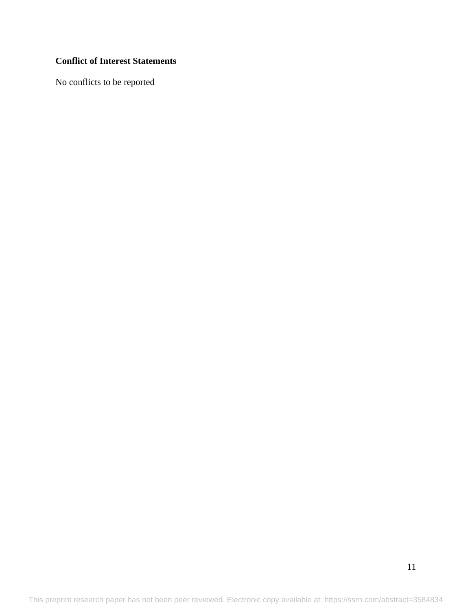# **Conflict of Interest Statements**

No conflicts to be reported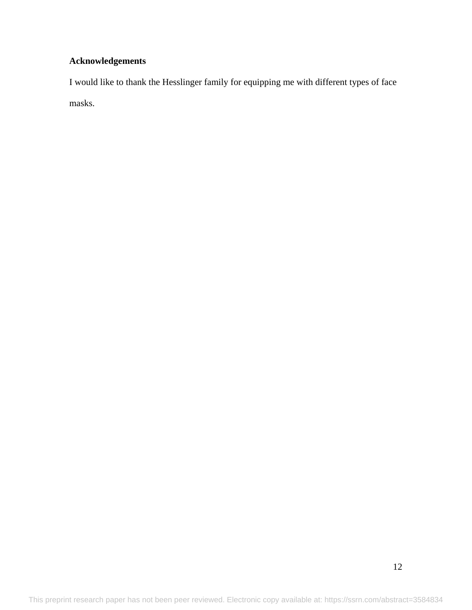# **Acknowledgements**

I would like to thank the Hesslinger family for equipping me with different types of face masks.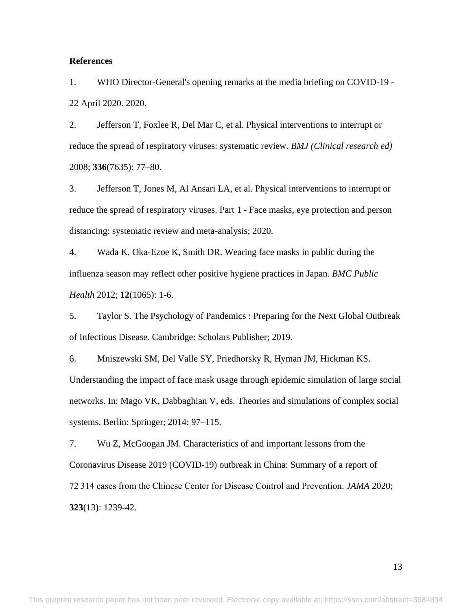## **References**

1. WHO Director-General's opening remarks at the media briefing on COVID-19 - 22 April 2020. 2020.

2. Jefferson T, Foxlee R, Del Mar C, et al. Physical interventions to interrupt or reduce the spread of respiratory viruses: systematic review. *BMJ (Clinical research ed)* 2008; **336**(7635): 77–80.

3. Jefferson T, Jones M, Al Ansari LA, et al. Physical interventions to interrupt or reduce the spread of respiratory viruses. Part 1 - Face masks, eye protection and person distancing: systematic review and meta-analysis; 2020.

4. Wada K, Oka-Ezoe K, Smith DR. Wearing face masks in public during the influenza season may reflect other positive hygiene practices in Japan. *BMC Public Health* 2012; **12**(1065): 1-6.

5. Taylor S. The Psychology of Pandemics : Preparing for the Next Global Outbreak of Infectious Disease. Cambridge: Scholars Publisher; 2019.

6. Mniszewski SM, Del Valle SY, Priedhorsky R, Hyman JM, Hickman KS. Understanding the impact of face mask usage through epidemic simulation of large social networks. In: Mago VK, Dabbaghian V, eds. Theories and simulations of complex social systems. Berlin: Springer; 2014: 97–115.

7. Wu Z, McGoogan JM. Characteristics of and important lessons from the Coronavirus Disease 2019 (COVID-19) outbreak in China: Summary of a report of 72 314 cases from the Chinese Center for Disease Control and Prevention. *JAMA* 2020; **323**(13): 1239-42.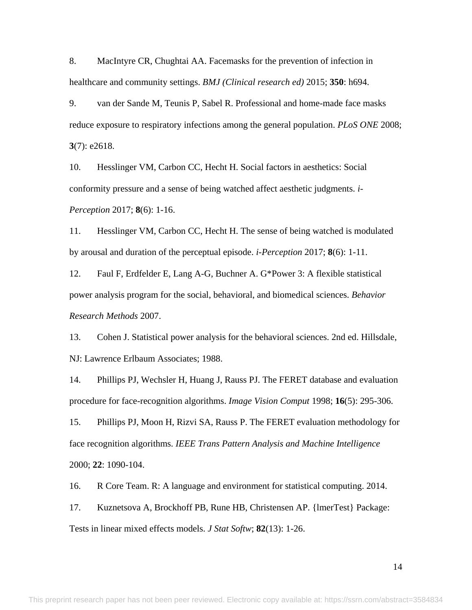8. MacIntyre CR, Chughtai AA. Facemasks for the prevention of infection in healthcare and community settings. *BMJ (Clinical research ed)* 2015; **350**: h694.

9. van der Sande M, Teunis P, Sabel R. Professional and home-made face masks reduce exposure to respiratory infections among the general population. *PLoS ONE* 2008; **3**(7): e2618.

10. Hesslinger VM, Carbon CC, Hecht H. Social factors in aesthetics: Social conformity pressure and a sense of being watched affect aesthetic judgments. *i-Perception* 2017; **8**(6): 1-16.

11. Hesslinger VM, Carbon CC, Hecht H. The sense of being watched is modulated by arousal and duration of the perceptual episode. *i-Perception* 2017; **8**(6): 1-11.

12. Faul F, Erdfelder E, Lang A-G, Buchner A. G\*Power 3: A flexible statistical power analysis program for the social, behavioral, and biomedical sciences. *Behavior Research Methods* 2007.

13. Cohen J. Statistical power analysis for the behavioral sciences. 2nd ed. Hillsdale, NJ: Lawrence Erlbaum Associates; 1988.

14. Phillips PJ, Wechsler H, Huang J, Rauss PJ. The FERET database and evaluation procedure for face-recognition algorithms. *Image Vision Comput* 1998; **16**(5): 295-306.

15. Phillips PJ, Moon H, Rizvi SA, Rauss P. The FERET evaluation methodology for face recognition algorithms. *IEEE Trans Pattern Analysis and Machine Intelligence* 2000; **22**: 1090-104.

16. R Core Team. R: A language and environment for statistical computing. 2014.

17. Kuznetsova A, Brockhoff PB, Rune HB, Christensen AP. {lmerTest} Package: Tests in linear mixed effects models. *J Stat Softw*; **82**(13): 1-26.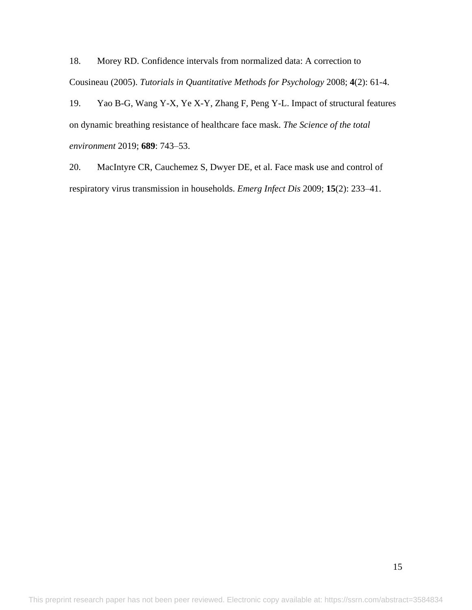18. Morey RD. Confidence intervals from normalized data: A correction to Cousineau (2005). *Tutorials in Quantitative Methods for Psychology* 2008; **4**(2): 61-4.

19. Yao B-G, Wang Y-X, Ye X-Y, Zhang F, Peng Y-L. Impact of structural features on dynamic breathing resistance of healthcare face mask. *The Science of the total environment* 2019; **689**: 743–53.

20. MacIntyre CR, Cauchemez S, Dwyer DE, et al. Face mask use and control of respiratory virus transmission in households. *Emerg Infect Dis* 2009; **15**(2): 233–41.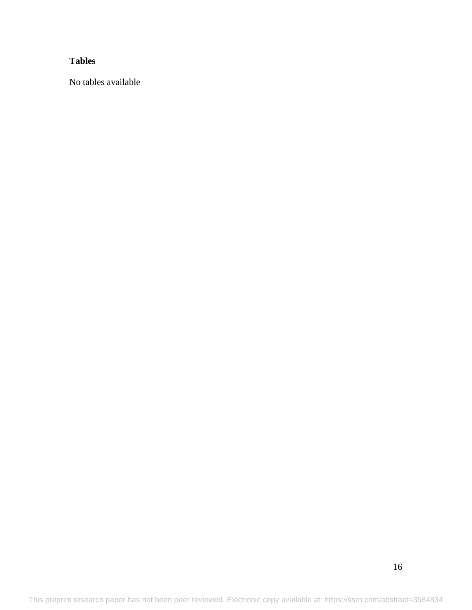# **Tables**

No tables available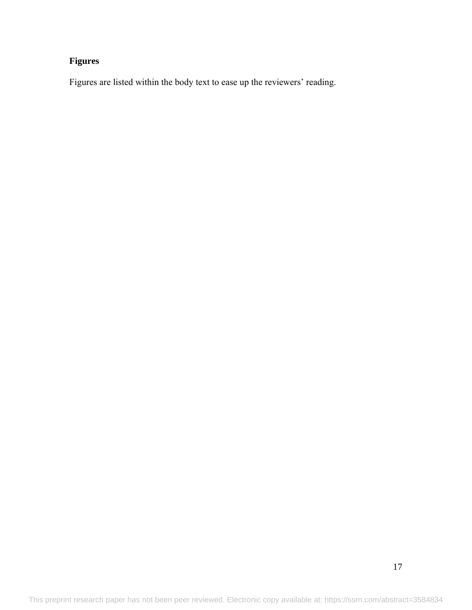# **Figures**

Figures are listed within the body text to ease up the reviewers' reading.